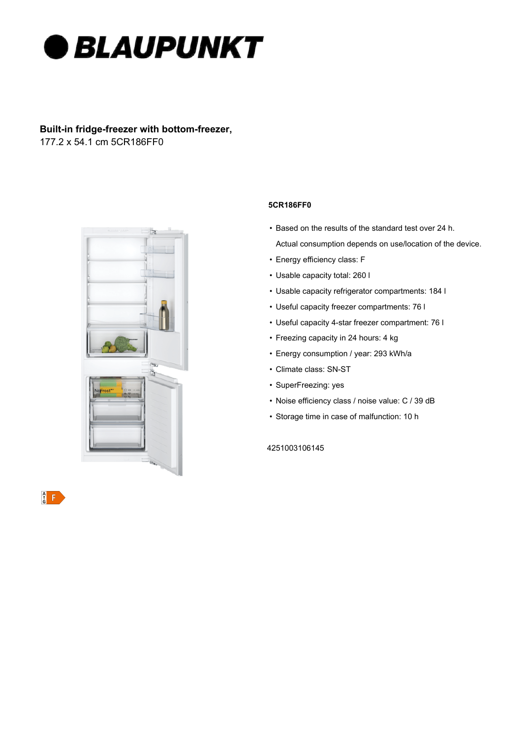

# **Built-in fridge-freezer with bottom-freezer,**  177.2 x 54.1 cm 5CR186FF0



 $\frac{A}{G}$ 

### **5CR186FF0**

- Based on the results of the standard test over 24 h.
- Actual consumption depends on use/location of the device.
- Energy efficiency class: F
- Usable capacity total: 260 l
- Usable capacity refrigerator compartments: 184 l
- Useful capacity freezer compartments: 76 l
- Useful capacity 4-star freezer compartment: 76 l
- Freezing capacity in 24 hours: 4 kg
- Energy consumption / year: 293 kWh/a
- Climate class: SN-ST
- SuperFreezing: yes
- Noise efficiency class / noise value: C / 39 dB
- Storage time in case of malfunction: 10 h

4251003106145